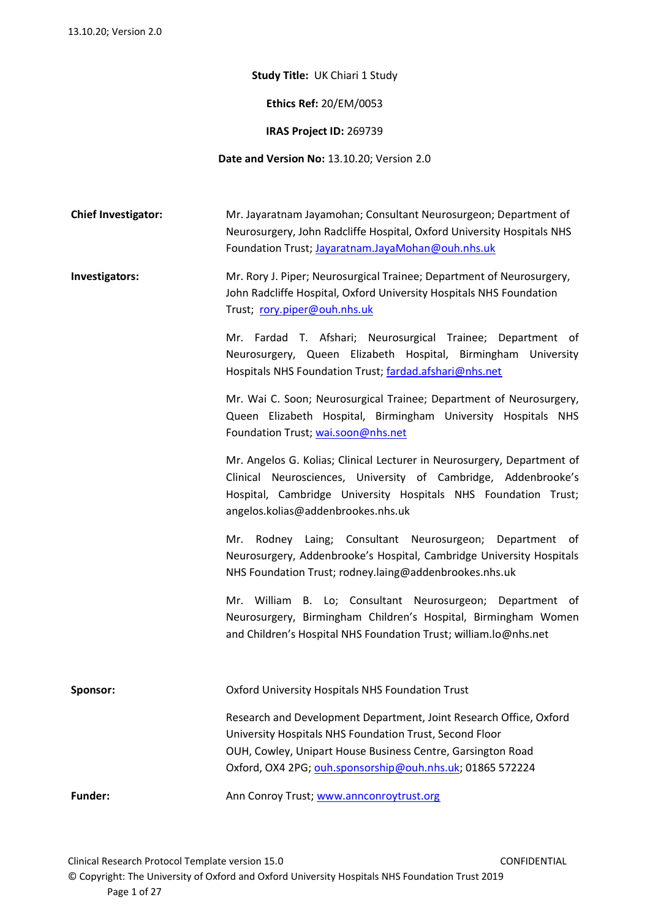**Study Title:** UK Chiari 1 Study

**Ethics Ref:** 20/EM/0053

**IRAS Project ID:** 269739

**Date and Version No:** 13.10.20; Version 2.0

**Chief Investigator:** Mr. Jayaratnam Jayamohan; Consultant Neurosurgeon; Department of Neurosurgery, John Radcliffe Hospital, Oxford University Hospitals NHS Foundation Trust; [Jayaratnam.JayaMohan@ouh.nhs.uk](mailto:Jayaratnam.JayaMohan@ouh.nhs.uk)

**Investigators:** Mr. Rory J. Piper; Neurosurgical Trainee; Department of Neurosurgery, John Radcliffe Hospital, Oxford University Hospitals NHS Foundation Trust; [rory.piper@ouh.nhs.uk](mailto:rory.piper@ouh.nhs.uk)

> Mr. Fardad T. Afshari; Neurosurgical Trainee; Department of Neurosurgery, Queen Elizabeth Hospital, Birmingham University Hospitals NHS Foundation Trust; [fardad.afshari@nhs.net](mailto:fardad.afshari@nhs.net)

> Mr. Wai C. Soon; Neurosurgical Trainee; Department of Neurosurgery, Queen Elizabeth Hospital, Birmingham University Hospitals NHS Foundation Trust; [wai.soon@nhs.net](mailto:wai.soon@nhs.net)

> Mr. Angelos G. Kolias; Clinical Lecturer in Neurosurgery, Department of Clinical Neurosciences, University of Cambridge, Addenbrooke's Hospital, Cambridge University Hospitals NHS Foundation Trust; angelos.kolias@addenbrookes.nhs.uk

> Mr. Rodney Laing; Consultant Neurosurgeon; Department of Neurosurgery, Addenbrooke's Hospital, Cambridge University Hospitals NHS Foundation Trust; rodney.laing@addenbrookes.nhs.uk

> Mr. William B. Lo; Consultant Neurosurgeon; Department of Neurosurgery, Birmingham Children's Hospital, Birmingham Women and Children's Hospital NHS Foundation Trust; william.lo@nhs.net

| Sponsor:       | Oxford University Hospitals NHS Foundation Trust                                                                              |
|----------------|-------------------------------------------------------------------------------------------------------------------------------|
|                | Research and Development Department, Joint Research Office, Oxford<br>University Hospitals NHS Foundation Trust, Second Floor |
|                | OUH, Cowley, Unipart House Business Centre, Garsington Road<br>Oxford, OX4 2PG; ouh.sponsorship@ouh.nhs.uk; 01865 572224      |
| <b>Funder:</b> | Ann Conroy Trust; www.annconroytrust.org                                                                                      |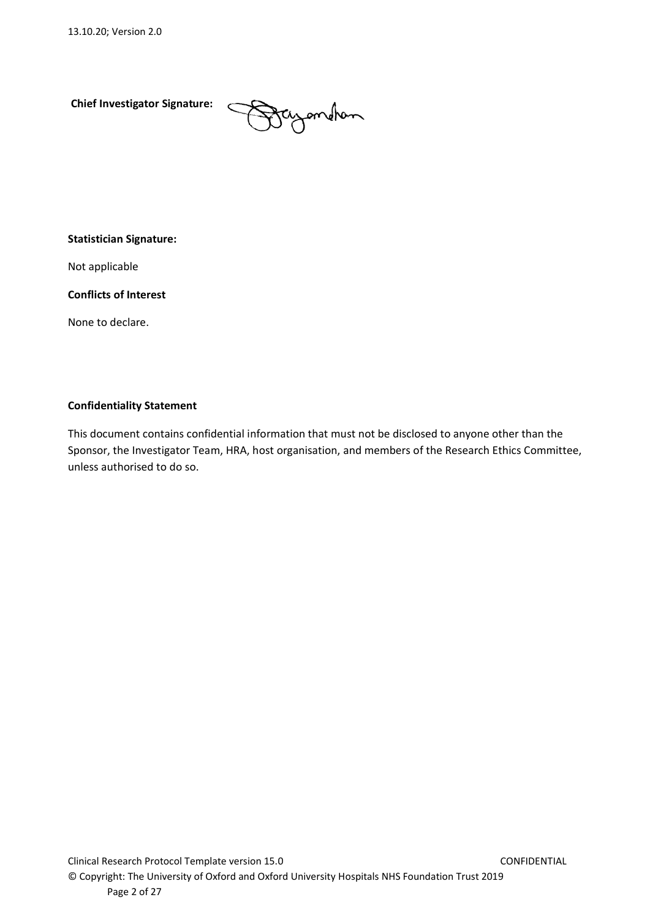**Chief Investigator Signature:** 

Daymohan

#### **Statistician Signature:**

Not applicable

**Conflicts of Interest**

None to declare.

#### **Confidentiality Statement**

This document contains confidential information that must not be disclosed to anyone other than the Sponsor, the Investigator Team, HRA, host organisation, and members of the Research Ethics Committee, unless authorised to do so.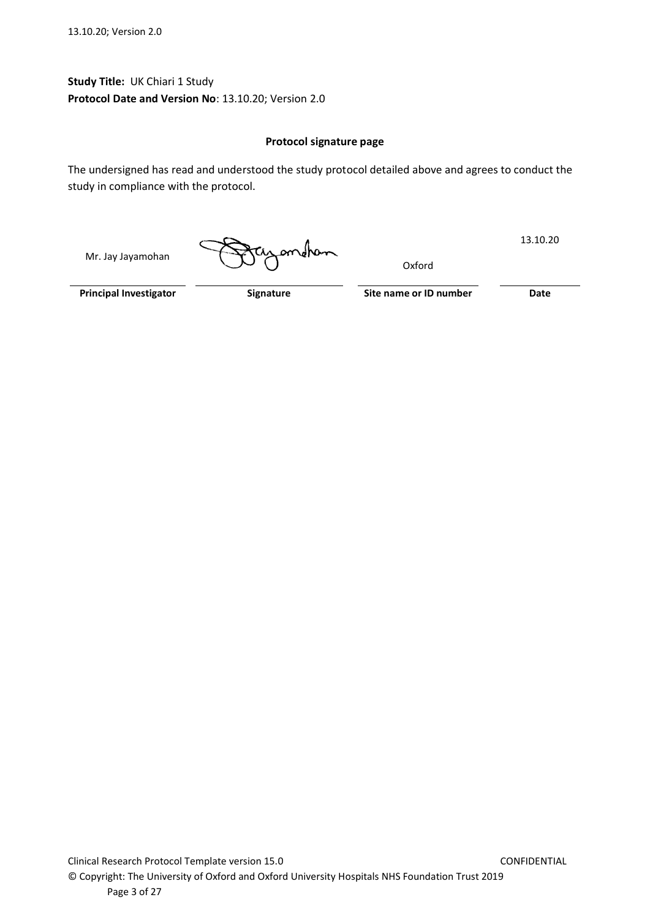**Study Title:** UK Chiari 1 Study **Protocol Date and Version No**: 13.10.20; Version 2.0

#### **Protocol signature page**

The undersigned has read and understood the study protocol detailed above and agrees to conduct the study in compliance with the protocol.

Mr. Jay Jayamohan

ondhan

Oxford

13.10.20

**Principal Investigator Signature Signature Site name or ID number Date**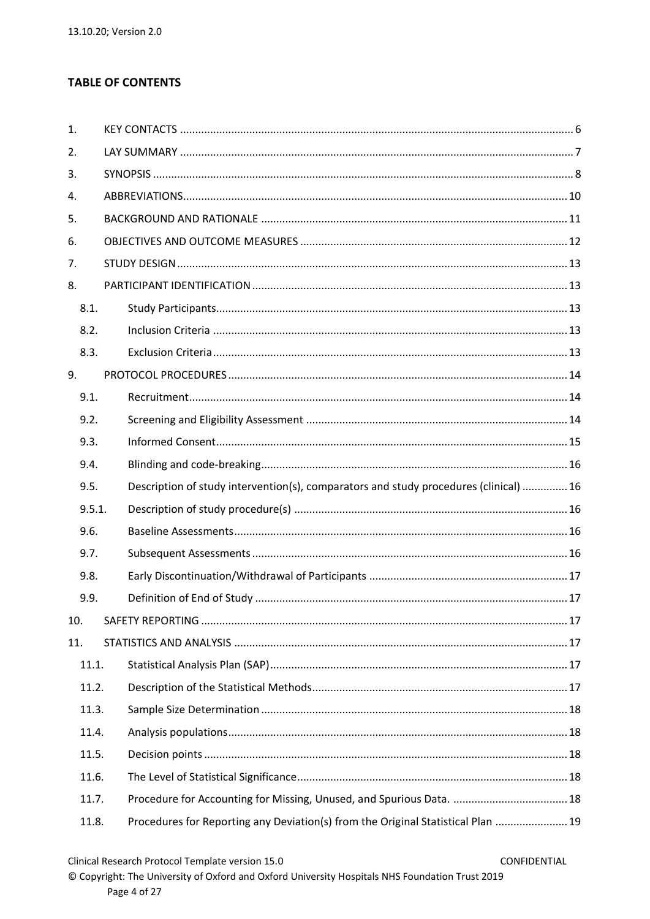# **TABLE OF CONTENTS**

| 1.  |        |                                                                                       |  |
|-----|--------|---------------------------------------------------------------------------------------|--|
| 2.  |        |                                                                                       |  |
| 3.  |        |                                                                                       |  |
| 4.  |        |                                                                                       |  |
| 5.  |        |                                                                                       |  |
| 6.  |        |                                                                                       |  |
| 7.  |        |                                                                                       |  |
| 8.  |        |                                                                                       |  |
|     | 8.1.   |                                                                                       |  |
|     | 8.2.   |                                                                                       |  |
|     | 8.3.   |                                                                                       |  |
| 9.  |        |                                                                                       |  |
|     | 9.1.   |                                                                                       |  |
|     | 9.2.   |                                                                                       |  |
|     | 9.3.   |                                                                                       |  |
|     | 9.4.   |                                                                                       |  |
|     | 9.5.   | Description of study intervention(s), comparators and study procedures (clinical)  16 |  |
|     | 9.5.1. |                                                                                       |  |
|     | 9.6.   |                                                                                       |  |
|     | 9.7.   |                                                                                       |  |
|     | 9.8.   |                                                                                       |  |
|     | 9.9.   |                                                                                       |  |
| 10. |        |                                                                                       |  |
| 11. |        |                                                                                       |  |
|     | 11.1.  |                                                                                       |  |
|     | 11.2.  |                                                                                       |  |
|     | 11.3.  |                                                                                       |  |
|     | 11.4.  |                                                                                       |  |
|     | 11.5.  |                                                                                       |  |
|     | 11.6.  |                                                                                       |  |
|     | 11.7.  |                                                                                       |  |
|     | 11.8.  | Procedures for Reporting any Deviation(s) from the Original Statistical Plan  19      |  |

© Copyright: The University of Oxford and Oxford University Hospitals NHS Foundation Trust 2019 Page 4 of 27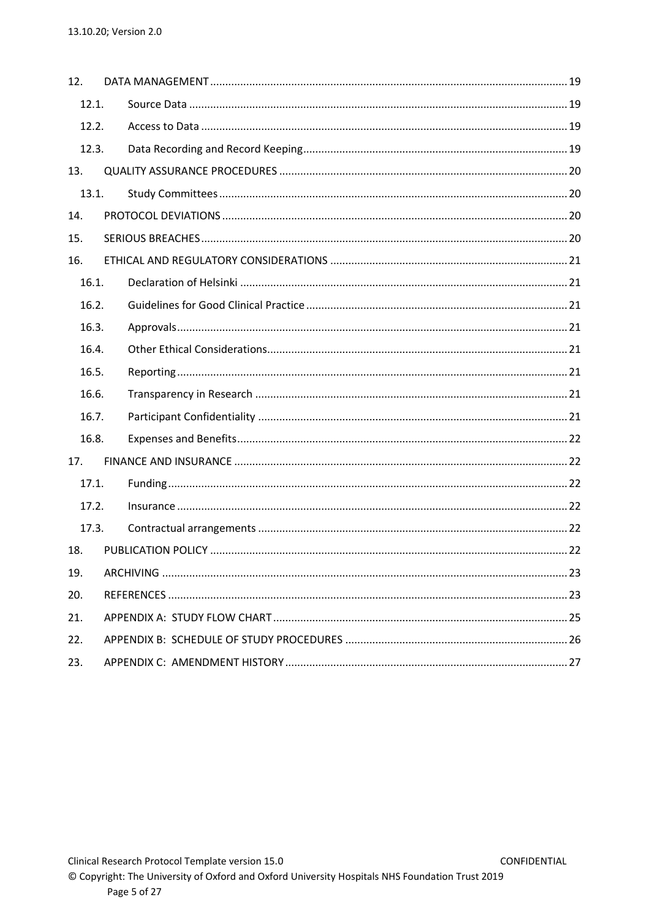| 12.   |  |  |
|-------|--|--|
| 12.1. |  |  |
| 12.2. |  |  |
| 12.3. |  |  |
| 13.   |  |  |
| 13.1. |  |  |
| 14.   |  |  |
| 15.   |  |  |
| 16.   |  |  |
| 16.1. |  |  |
| 16.2. |  |  |
| 16.3. |  |  |
| 16.4. |  |  |
| 16.5. |  |  |
| 16.6. |  |  |
| 16.7. |  |  |
| 16.8. |  |  |
| 17.   |  |  |
| 17.1. |  |  |
| 17.2. |  |  |
| 17.3. |  |  |
| 18.   |  |  |
| 19.   |  |  |
| 20.   |  |  |
| 21.   |  |  |
| 22.   |  |  |
| 23.   |  |  |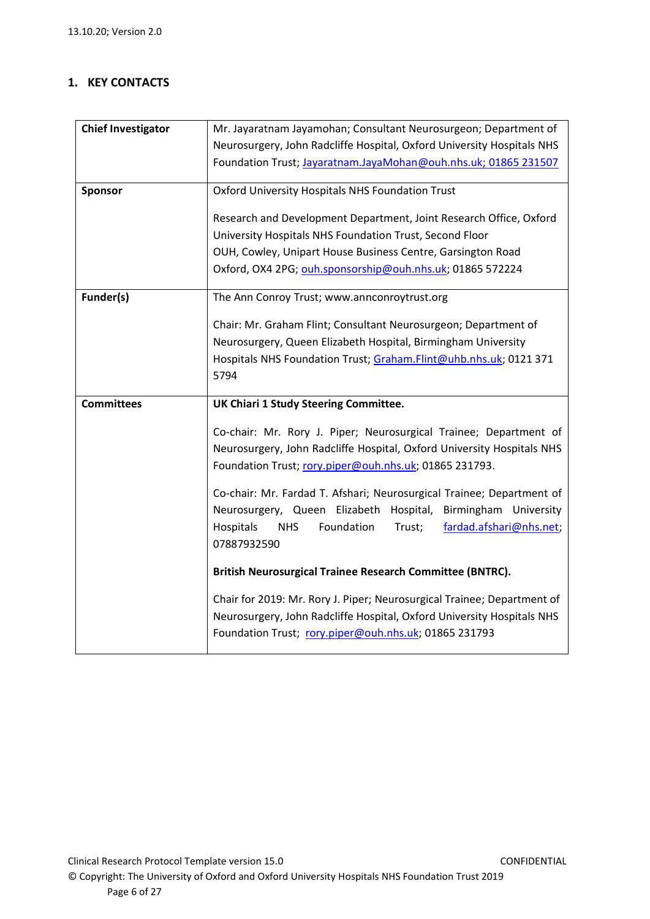# <span id="page-5-0"></span>**1. KEY CONTACTS**

| <b>Chief Investigator</b> | Mr. Jayaratnam Jayamohan; Consultant Neurosurgeon; Department of                                                                |  |  |  |  |
|---------------------------|---------------------------------------------------------------------------------------------------------------------------------|--|--|--|--|
|                           | Neurosurgery, John Radcliffe Hospital, Oxford University Hospitals NHS                                                          |  |  |  |  |
|                           | Foundation Trust; Jayaratnam.JayaMohan@ouh.nhs.uk; 01865 231507                                                                 |  |  |  |  |
|                           |                                                                                                                                 |  |  |  |  |
| Sponsor                   | Oxford University Hospitals NHS Foundation Trust                                                                                |  |  |  |  |
|                           | Research and Development Department, Joint Research Office, Oxford                                                              |  |  |  |  |
|                           | University Hospitals NHS Foundation Trust, Second Floor                                                                         |  |  |  |  |
|                           |                                                                                                                                 |  |  |  |  |
|                           | OUH, Cowley, Unipart House Business Centre, Garsington Road                                                                     |  |  |  |  |
|                           | Oxford, OX4 2PG; ouh.sponsorship@ouh.nhs.uk; 01865 572224                                                                       |  |  |  |  |
| Funder(s)                 | The Ann Conroy Trust; www.annconroytrust.org                                                                                    |  |  |  |  |
|                           |                                                                                                                                 |  |  |  |  |
|                           | Chair: Mr. Graham Flint; Consultant Neurosurgeon; Department of                                                                 |  |  |  |  |
|                           | Neurosurgery, Queen Elizabeth Hospital, Birmingham University                                                                   |  |  |  |  |
|                           | Hospitals NHS Foundation Trust; Graham.Flint@uhb.nhs.uk; 0121 371                                                               |  |  |  |  |
|                           | 5794                                                                                                                            |  |  |  |  |
| <b>Committees</b>         | <b>UK Chiari 1 Study Steering Committee.</b>                                                                                    |  |  |  |  |
|                           |                                                                                                                                 |  |  |  |  |
|                           |                                                                                                                                 |  |  |  |  |
|                           | Co-chair: Mr. Rory J. Piper; Neurosurgical Trainee; Department of                                                               |  |  |  |  |
|                           |                                                                                                                                 |  |  |  |  |
|                           | Neurosurgery, John Radcliffe Hospital, Oxford University Hospitals NHS                                                          |  |  |  |  |
|                           | Foundation Trust; rory.piper@ouh.nhs.uk; 01865 231793.                                                                          |  |  |  |  |
|                           | Co-chair: Mr. Fardad T. Afshari; Neurosurgical Trainee; Department of                                                           |  |  |  |  |
|                           | Neurosurgery, Queen Elizabeth Hospital,<br>Birmingham University                                                                |  |  |  |  |
|                           | Foundation<br>fardad.afshari@nhs.net;<br>Hospitals<br><b>NHS</b><br>Trust;                                                      |  |  |  |  |
|                           | 07887932590                                                                                                                     |  |  |  |  |
|                           |                                                                                                                                 |  |  |  |  |
|                           | British Neurosurgical Trainee Research Committee (BNTRC).                                                                       |  |  |  |  |
|                           |                                                                                                                                 |  |  |  |  |
|                           | Chair for 2019: Mr. Rory J. Piper; Neurosurgical Trainee; Department of                                                         |  |  |  |  |
|                           | Neurosurgery, John Radcliffe Hospital, Oxford University Hospitals NHS<br>Foundation Trust; rory.piper@ouh.nhs.uk; 01865 231793 |  |  |  |  |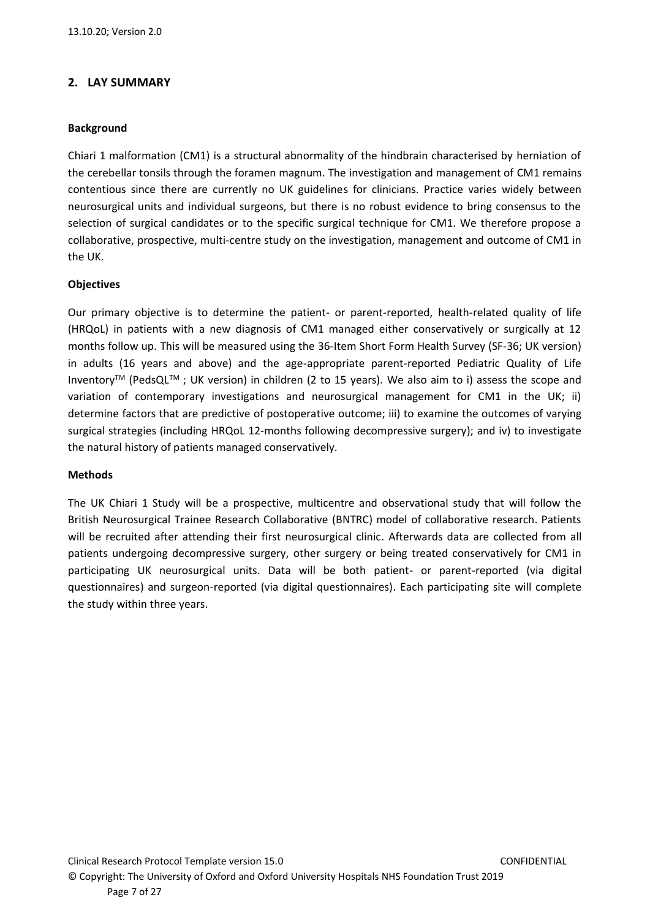## <span id="page-6-0"></span>**2. LAY SUMMARY**

#### **Background**

Chiari 1 malformation (CM1) is a structural abnormality of the hindbrain characterised by herniation of the cerebellar tonsils through the foramen magnum. The investigation and management of CM1 remains contentious since there are currently no UK guidelines for clinicians. Practice varies widely between neurosurgical units and individual surgeons, but there is no robust evidence to bring consensus to the selection of surgical candidates or to the specific surgical technique for CM1. We therefore propose a collaborative, prospective, multi-centre study on the investigation, management and outcome of CM1 in the UK.

#### **Objectives**

Our primary objective is to determine the patient- or parent-reported, health-related quality of life (HRQoL) in patients with a new diagnosis of CM1 managed either conservatively or surgically at 12 months follow up. This will be measured using the 36-Item Short Form Health Survey (SF-36; UK version) in adults (16 years and above) and the age-appropriate parent-reported Pediatric Quality of Life InventoryTM (PedsQLTM ; UK version) in children (2 to 15 years). We also aim to i) assess the scope and variation of contemporary investigations and neurosurgical management for CM1 in the UK; ii) determine factors that are predictive of postoperative outcome; iii) to examine the outcomes of varying surgical strategies (including HRQoL 12-months following decompressive surgery); and iv) to investigate the natural history of patients managed conservatively.

#### **Methods**

The UK Chiari 1 Study will be a prospective, multicentre and observational study that will follow the British Neurosurgical Trainee Research Collaborative (BNTRC) model of collaborative research. Patients will be recruited after attending their first neurosurgical clinic. Afterwards data are collected from all patients undergoing decompressive surgery, other surgery or being treated conservatively for CM1 in participating UK neurosurgical units. Data will be both patient- or parent-reported (via digital questionnaires) and surgeon-reported (via digital questionnaires). Each participating site will complete the study within three years.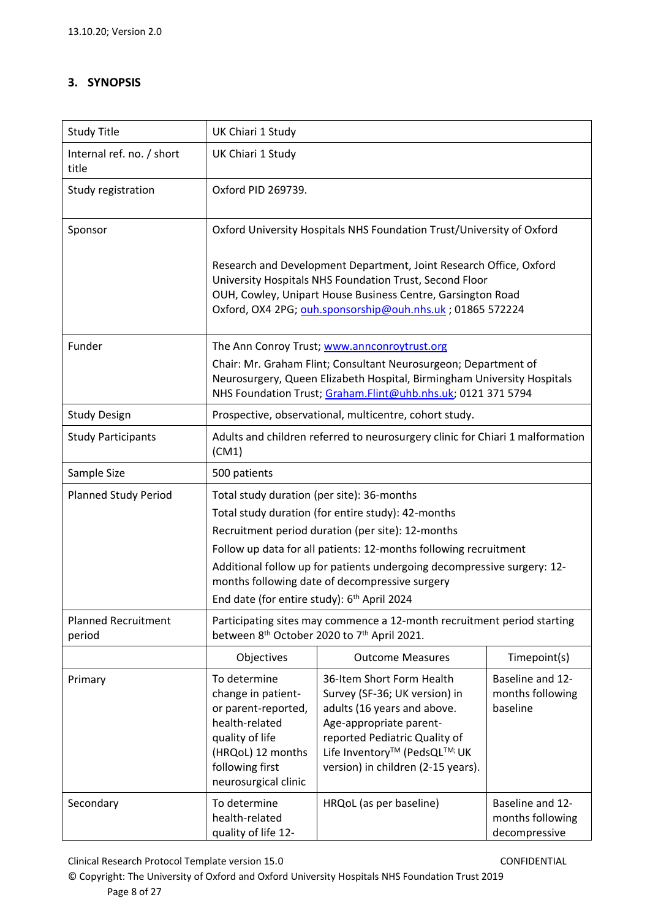# <span id="page-7-0"></span>**3. SYNOPSIS**

| <b>Study Title</b>                   | UK Chiari 1 Study                                                                                                                                                                                                                                                                                                                                                                                                 |                                                                                                                                                                                                                                                            |                                                       |  |  |
|--------------------------------------|-------------------------------------------------------------------------------------------------------------------------------------------------------------------------------------------------------------------------------------------------------------------------------------------------------------------------------------------------------------------------------------------------------------------|------------------------------------------------------------------------------------------------------------------------------------------------------------------------------------------------------------------------------------------------------------|-------------------------------------------------------|--|--|
| Internal ref. no. / short<br>title   | UK Chiari 1 Study                                                                                                                                                                                                                                                                                                                                                                                                 |                                                                                                                                                                                                                                                            |                                                       |  |  |
| Study registration                   | Oxford PID 269739.                                                                                                                                                                                                                                                                                                                                                                                                |                                                                                                                                                                                                                                                            |                                                       |  |  |
| Sponsor                              |                                                                                                                                                                                                                                                                                                                                                                                                                   | Oxford University Hospitals NHS Foundation Trust/University of Oxford                                                                                                                                                                                      |                                                       |  |  |
|                                      |                                                                                                                                                                                                                                                                                                                                                                                                                   | Research and Development Department, Joint Research Office, Oxford<br>University Hospitals NHS Foundation Trust, Second Floor<br>OUH, Cowley, Unipart House Business Centre, Garsington Road<br>Oxford, OX4 2PG; ouh.sponsorship@ouh.nhs.uk ; 01865 572224 |                                                       |  |  |
| Funder                               |                                                                                                                                                                                                                                                                                                                                                                                                                   | The Ann Conroy Trust; www.annconroytrust.org<br>Chair: Mr. Graham Flint; Consultant Neurosurgeon; Department of<br>Neurosurgery, Queen Elizabeth Hospital, Birmingham University Hospitals<br>NHS Foundation Trust; Graham.Flint@uhb.nhs.uk; 0121 371 5794 |                                                       |  |  |
| <b>Study Design</b>                  |                                                                                                                                                                                                                                                                                                                                                                                                                   | Prospective, observational, multicentre, cohort study.                                                                                                                                                                                                     |                                                       |  |  |
| <b>Study Participants</b>            | (CM1)                                                                                                                                                                                                                                                                                                                                                                                                             | Adults and children referred to neurosurgery clinic for Chiari 1 malformation                                                                                                                                                                              |                                                       |  |  |
| Sample Size                          | 500 patients                                                                                                                                                                                                                                                                                                                                                                                                      |                                                                                                                                                                                                                                                            |                                                       |  |  |
| <b>Planned Study Period</b>          | Total study duration (per site): 36-months<br>Total study duration (for entire study): 42-months<br>Recruitment period duration (per site): 12-months<br>Follow up data for all patients: 12-months following recruitment<br>Additional follow up for patients undergoing decompressive surgery: 12-<br>months following date of decompressive surgery<br>End date (for entire study): 6 <sup>th</sup> April 2024 |                                                                                                                                                                                                                                                            |                                                       |  |  |
| <b>Planned Recruitment</b><br>period |                                                                                                                                                                                                                                                                                                                                                                                                                   | Participating sites may commence a 12-month recruitment period starting<br>between 8 <sup>th</sup> October 2020 to 7 <sup>th</sup> April 2021.                                                                                                             |                                                       |  |  |
|                                      | Objectives                                                                                                                                                                                                                                                                                                                                                                                                        | <b>Outcome Measures</b>                                                                                                                                                                                                                                    | Timepoint(s)                                          |  |  |
| Primary                              | To determine<br>change in patient-<br>or parent-reported,<br>health-related<br>quality of life<br>(HRQoL) 12 months<br>following first<br>neurosurgical clinic                                                                                                                                                                                                                                                    | 36-Item Short Form Health<br>Survey (SF-36; UK version) in<br>adults (16 years and above.<br>Age-appropriate parent-<br>reported Pediatric Quality of<br>Life Inventory™ (PedsQL™; UK<br>version) in children (2-15 years).                                | Baseline and 12-<br>months following<br>baseline      |  |  |
| Secondary                            | To determine<br>health-related<br>quality of life 12-                                                                                                                                                                                                                                                                                                                                                             | HRQoL (as per baseline)                                                                                                                                                                                                                                    | Baseline and 12-<br>months following<br>decompressive |  |  |

Clinical Research Protocol Template version 15.0 CONFIDENTIAL

© Copyright: The University of Oxford and Oxford University Hospitals NHS Foundation Trust 2019 Page 8 of 27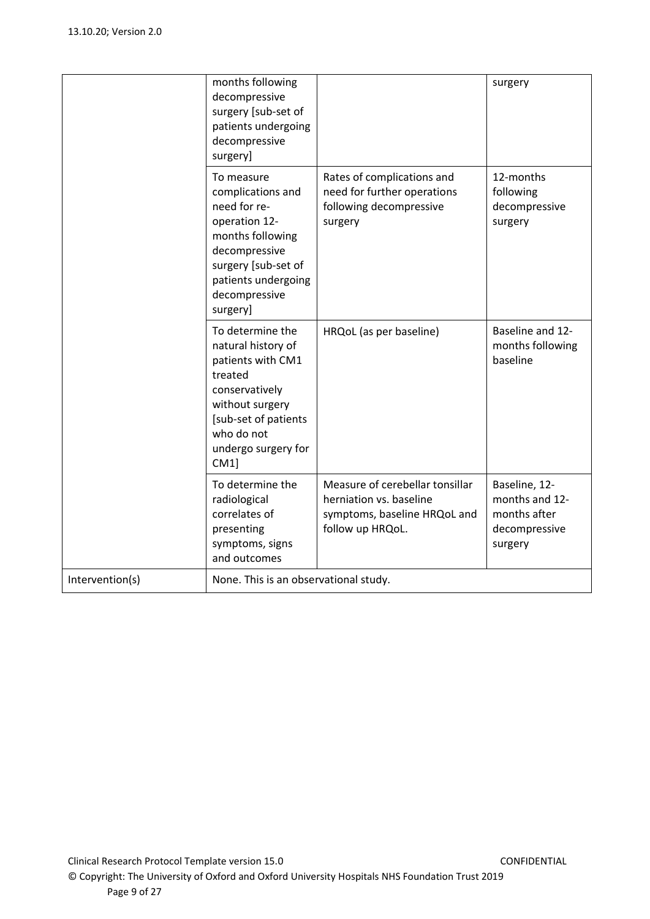|                 | months following<br>decompressive<br>surgery [sub-set of<br>patients undergoing<br>decompressive<br>surgery]                                                                     |                                                                                                                | surgery                                                                     |
|-----------------|----------------------------------------------------------------------------------------------------------------------------------------------------------------------------------|----------------------------------------------------------------------------------------------------------------|-----------------------------------------------------------------------------|
|                 | To measure<br>complications and<br>need for re-<br>operation 12-<br>months following<br>decompressive<br>surgery [sub-set of<br>patients undergoing<br>decompressive<br>surgery] | Rates of complications and<br>need for further operations<br>following decompressive<br>surgery                | 12-months<br>following<br>decompressive<br>surgery                          |
|                 | To determine the<br>natural history of<br>patients with CM1<br>treated<br>conservatively<br>without surgery<br>[sub-set of patients<br>who do not<br>undergo surgery for<br>CM1  | HRQoL (as per baseline)                                                                                        | Baseline and 12-<br>months following<br>baseline                            |
|                 | To determine the<br>radiological<br>correlates of<br>presenting<br>symptoms, signs<br>and outcomes                                                                               | Measure of cerebellar tonsillar<br>herniation vs. baseline<br>symptoms, baseline HRQoL and<br>follow up HRQoL. | Baseline, 12-<br>months and 12-<br>months after<br>decompressive<br>surgery |
| Intervention(s) | None. This is an observational study.                                                                                                                                            |                                                                                                                |                                                                             |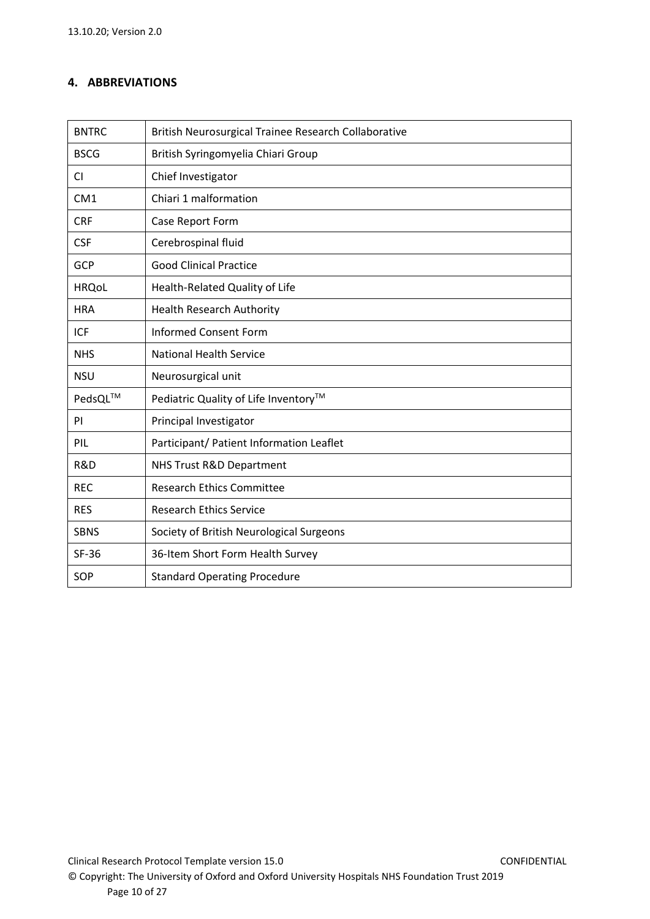# <span id="page-9-0"></span>**4. ABBREVIATIONS**

| <b>BNTRC</b>    | British Neurosurgical Trainee Research Collaborative |  |  |
|-----------------|------------------------------------------------------|--|--|
| <b>BSCG</b>     | British Syringomyelia Chiari Group                   |  |  |
| <b>CI</b>       | Chief Investigator                                   |  |  |
| CM <sub>1</sub> | Chiari 1 malformation                                |  |  |
| <b>CRF</b>      | Case Report Form                                     |  |  |
| <b>CSF</b>      | Cerebrospinal fluid                                  |  |  |
| GCP             | <b>Good Clinical Practice</b>                        |  |  |
| <b>HRQoL</b>    | Health-Related Quality of Life                       |  |  |
| <b>HRA</b>      | <b>Health Research Authority</b>                     |  |  |
| <b>ICF</b>      | <b>Informed Consent Form</b>                         |  |  |
| <b>NHS</b>      | <b>National Health Service</b>                       |  |  |
| <b>NSU</b>      | Neurosurgical unit                                   |  |  |
| PedsQL™         | Pediatric Quality of Life Inventory™                 |  |  |
| <b>PI</b>       | Principal Investigator                               |  |  |
| PIL             | Participant/ Patient Information Leaflet             |  |  |
| R&D             | NHS Trust R&D Department                             |  |  |
| <b>REC</b>      | <b>Research Ethics Committee</b>                     |  |  |
| <b>RES</b>      | <b>Research Ethics Service</b>                       |  |  |
| <b>SBNS</b>     | Society of British Neurological Surgeons             |  |  |
| <b>SF-36</b>    | 36-Item Short Form Health Survey                     |  |  |
| SOP             | <b>Standard Operating Procedure</b>                  |  |  |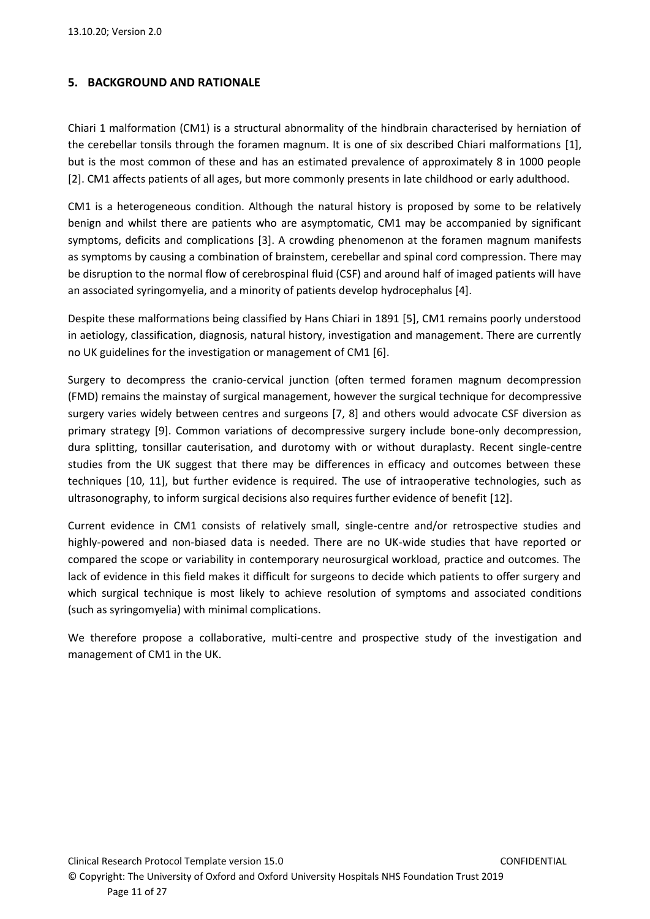### <span id="page-10-0"></span>**5. BACKGROUND AND RATIONALE**

Chiari 1 malformation (CM1) is a structural abnormality of the hindbrain characterised by herniation of the cerebellar tonsils through the foramen magnum. It is one of six described Chiari malformations [1], but is the most common of these and has an estimated prevalence of approximately 8 in 1000 people [2]. CM1 affects patients of all ages, but more commonly presents in late childhood or early adulthood.

CM1 is a heterogeneous condition. Although the natural history is proposed by some to be relatively benign and whilst there are patients who are asymptomatic, CM1 may be accompanied by significant symptoms, deficits and complications [3]. A crowding phenomenon at the foramen magnum manifests as symptoms by causing a combination of brainstem, cerebellar and spinal cord compression. There may be disruption to the normal flow of cerebrospinal fluid (CSF) and around half of imaged patients will have an associated syringomyelia, and a minority of patients develop hydrocephalus [4].

Despite these malformations being classified by Hans Chiari in 1891 [5], CM1 remains poorly understood in aetiology, classification, diagnosis, natural history, investigation and management. There are currently no UK guidelines for the investigation or management of CM1 [6].

Surgery to decompress the cranio-cervical junction (often termed foramen magnum decompression (FMD) remains the mainstay of surgical management, however the surgical technique for decompressive surgery varies widely between centres and surgeons [7, 8] and others would advocate CSF diversion as primary strategy [9]. Common variations of decompressive surgery include bone-only decompression, dura splitting, tonsillar cauterisation, and durotomy with or without duraplasty. Recent single-centre studies from the UK suggest that there may be differences in efficacy and outcomes between these techniques [10, 11], but further evidence is required. The use of intraoperative technologies, such as ultrasonography, to inform surgical decisions also requires further evidence of benefit [12].

Current evidence in CM1 consists of relatively small, single-centre and/or retrospective studies and highly-powered and non-biased data is needed. There are no UK-wide studies that have reported or compared the scope or variability in contemporary neurosurgical workload, practice and outcomes. The lack of evidence in this field makes it difficult for surgeons to decide which patients to offer surgery and which surgical technique is most likely to achieve resolution of symptoms and associated conditions (such as syringomyelia) with minimal complications.

We therefore propose a collaborative, multi-centre and prospective study of the investigation and management of CM1 in the UK.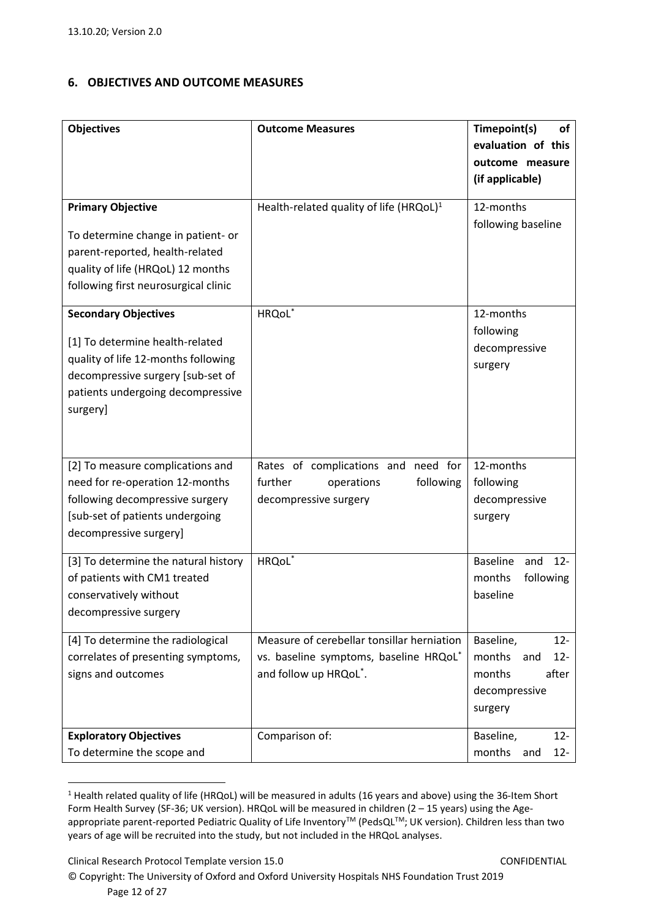## <span id="page-11-0"></span>**6. OBJECTIVES AND OUTCOME MEASURES**

| <b>Objectives</b>                    | <b>Outcome Measures</b>                             | Timepoint(s)<br>of<br>evaluation of this |
|--------------------------------------|-----------------------------------------------------|------------------------------------------|
|                                      |                                                     | outcome measure<br>(if applicable)       |
| <b>Primary Objective</b>             | Health-related quality of life (HRQoL) <sup>1</sup> | 12-months                                |
| To determine change in patient- or   |                                                     | following baseline                       |
| parent-reported, health-related      |                                                     |                                          |
| quality of life (HRQoL) 12 months    |                                                     |                                          |
| following first neurosurgical clinic |                                                     |                                          |
| <b>Secondary Objectives</b>          | HRQoL*                                              | 12-months                                |
| [1] To determine health-related      |                                                     | following                                |
| quality of life 12-months following  |                                                     | decompressive                            |
| decompressive surgery [sub-set of    |                                                     | surgery                                  |
| patients undergoing decompressive    |                                                     |                                          |
| surgery]                             |                                                     |                                          |
|                                      |                                                     |                                          |
|                                      |                                                     |                                          |
| [2] To measure complications and     | Rates of complications and need for                 | 12-months                                |
| need for re-operation 12-months      | further<br>operations<br>following                  | following                                |
| following decompressive surgery      | decompressive surgery                               | decompressive                            |
| [sub-set of patients undergoing      |                                                     | surgery                                  |
| decompressive surgery]               |                                                     |                                          |
| [3] To determine the natural history | HRQoL <sup>*</sup>                                  | <b>Baseline</b><br>$12 -$<br>and         |
| of patients with CM1 treated         |                                                     | months<br>following                      |
| conservatively without               |                                                     | baseline                                 |
| decompressive surgery                |                                                     |                                          |
|                                      |                                                     |                                          |
| [4] To determine the radiological    | Measure of cerebellar tonsillar herniation          | Baseline,<br>$12 -$                      |
| correlates of presenting symptoms,   | vs. baseline symptoms, baseline HRQoL*              | months<br>$12 -$<br>and                  |
| signs and outcomes                   | and follow up HRQoL*.                               | after<br>months                          |
|                                      |                                                     | decompressive                            |
|                                      |                                                     | surgery                                  |
| <b>Exploratory Objectives</b>        | Comparison of:                                      | $12 -$<br>Baseline,                      |
| To determine the scope and           |                                                     | months<br>$12 -$<br>and                  |

<sup>&</sup>lt;sup>1</sup> Health related quality of life (HRQoL) will be measured in adults (16 years and above) using the 36-Item Short Form Health Survey (SF-36; UK version). HRQoL will be measured in children (2 – 15 years) using the Ageappropriate parent-reported Pediatric Quality of Life Inventory™ (PedsQL™; UK version). Children less than two years of age will be recruited into the study, but not included in the HRQoL analyses.

Clinical Research Protocol Template version 15.0 CONFIDENTIAL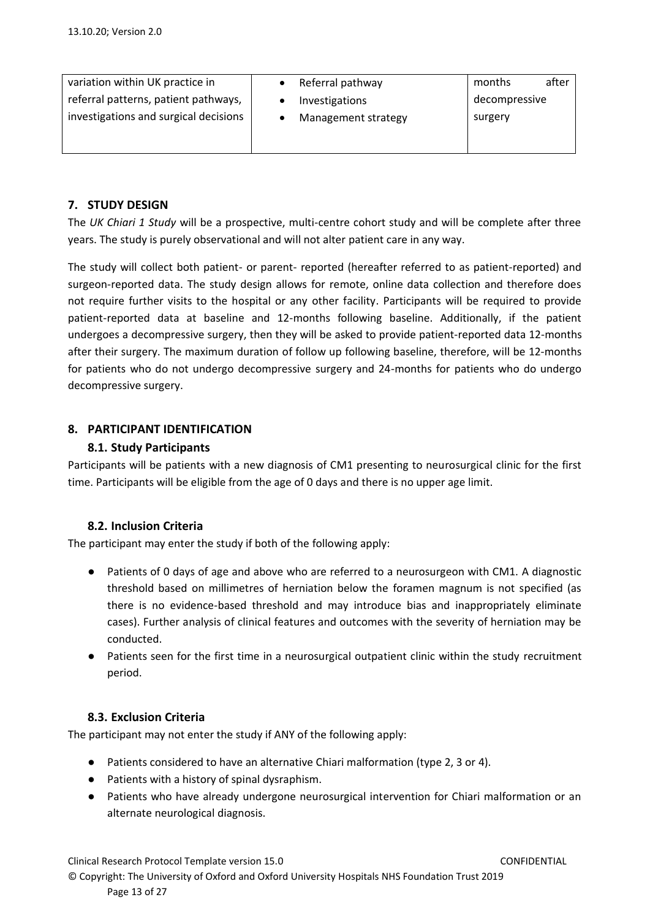| variation within UK practice in<br>referral patterns, patient pathways, | Referral pathway<br>Investigations | months<br>decompressive | after |
|-------------------------------------------------------------------------|------------------------------------|-------------------------|-------|
| investigations and surgical decisions                                   | Management strategy                | surgery                 |       |
|                                                                         |                                    |                         |       |

# <span id="page-12-0"></span>**7. STUDY DESIGN**

The *UK Chiari 1 Study* will be a prospective, multi-centre cohort study and will be complete after three years. The study is purely observational and will not alter patient care in any way.

The study will collect both patient- or parent- reported (hereafter referred to as patient-reported) and surgeon-reported data. The study design allows for remote, online data collection and therefore does not require further visits to the hospital or any other facility. Participants will be required to provide patient-reported data at baseline and 12-months following baseline. Additionally, if the patient undergoes a decompressive surgery, then they will be asked to provide patient-reported data 12-months after their surgery. The maximum duration of follow up following baseline, therefore, will be 12-months for patients who do not undergo decompressive surgery and 24-months for patients who do undergo decompressive surgery.

# <span id="page-12-2"></span><span id="page-12-1"></span>**8. PARTICIPANT IDENTIFICATION**

## **8.1. Study Participants**

Participants will be patients with a new diagnosis of CM1 presenting to neurosurgical clinic for the first time. Participants will be eligible from the age of 0 days and there is no upper age limit.

### <span id="page-12-3"></span>**8.2. Inclusion Criteria**

The participant may enter the study if both of the following apply:

- Patients of 0 days of age and above who are referred to a neurosurgeon with CM1. A diagnostic threshold based on millimetres of herniation below the foramen magnum is not specified (as there is no evidence-based threshold and may introduce bias and inappropriately eliminate cases). Further analysis of clinical features and outcomes with the severity of herniation may be conducted.
- Patients seen for the first time in a neurosurgical outpatient clinic within the study recruitment period.

### <span id="page-12-4"></span>**8.3. Exclusion Criteria**

The participant may not enter the study if ANY of the following apply:

- Patients considered to have an alternative Chiari malformation (type 2, 3 or 4).
- Patients with a history of spinal dysraphism.
- Patients who have already undergone neurosurgical intervention for Chiari malformation or an alternate neurological diagnosis.

Clinical Research Protocol Template version 15.0 CONFIDENTIAL © Copyright: The University of Oxford and Oxford University Hospitals NHS Foundation Trust 2019 Page 13 of 27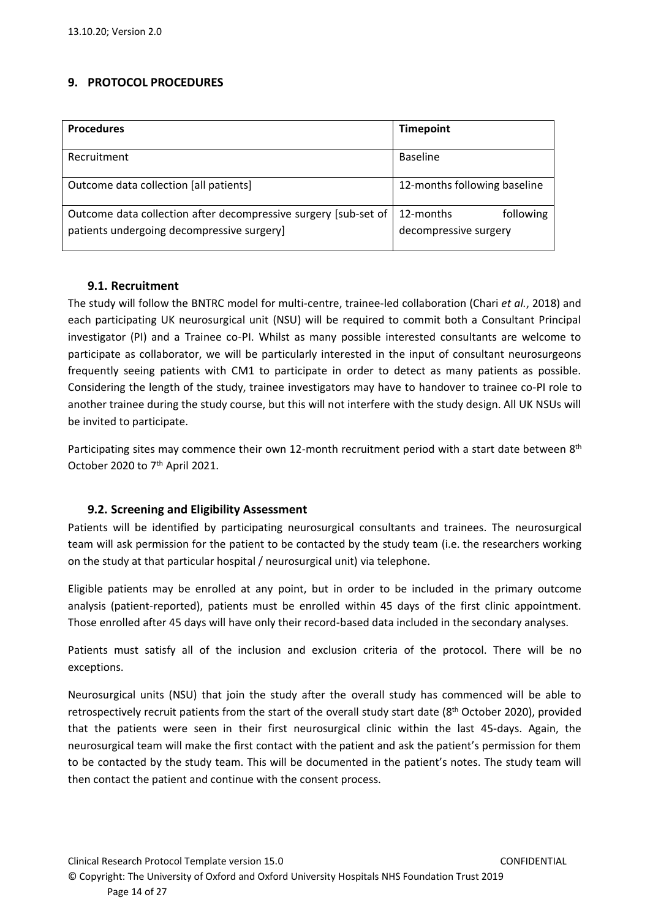# <span id="page-13-0"></span>**9. PROTOCOL PROCEDURES**

| <b>Procedures</b>                                                                                             | <b>Timepoint</b>                                |
|---------------------------------------------------------------------------------------------------------------|-------------------------------------------------|
| Recruitment                                                                                                   | <b>Baseline</b>                                 |
| Outcome data collection [all patients]                                                                        | 12-months following baseline                    |
| Outcome data collection after decompressive surgery [sub-set of<br>patients undergoing decompressive surgery] | following<br>12-months<br>decompressive surgery |

### **9.1. Recruitment**

The study will follow the BNTRC model for multi-centre, trainee-led collaboration (Chari *et al.*, 2018) and each participating UK neurosurgical unit (NSU) will be required to commit both a Consultant Principal investigator (PI) and a Trainee co-PI. Whilst as many possible interested consultants are welcome to participate as collaborator, we will be particularly interested in the input of consultant neurosurgeons frequently seeing patients with CM1 to participate in order to detect as many patients as possible. Considering the length of the study, trainee investigators may have to handover to trainee co-PI role to another trainee during the study course, but this will not interfere with the study design. All UK NSUs will be invited to participate.

Participating sites may commence their own 12-month recruitment period with a start date between 8<sup>th</sup> October 2020 to 7<sup>th</sup> April 2021.

### <span id="page-13-1"></span>**9.2. Screening and Eligibility Assessment**

Patients will be identified by participating neurosurgical consultants and trainees. The neurosurgical team will ask permission for the patient to be contacted by the study team (i.e. the researchers working on the study at that particular hospital / neurosurgical unit) via telephone.

Eligible patients may be enrolled at any point, but in order to be included in the primary outcome analysis (patient-reported), patients must be enrolled within 45 days of the first clinic appointment. Those enrolled after 45 days will have only their record-based data included in the secondary analyses.

Patients must satisfy all of the inclusion and exclusion criteria of the protocol. There will be no exceptions.

Neurosurgical units (NSU) that join the study after the overall study has commenced will be able to retrospectively recruit patients from the start of the overall study start date (8<sup>th</sup> October 2020), provided that the patients were seen in their first neurosurgical clinic within the last 45-days. Again, the neurosurgical team will make the first contact with the patient and ask the patient's permission for them to be contacted by the study team. This will be documented in the patient's notes. The study team will then contact the patient and continue with the consent process.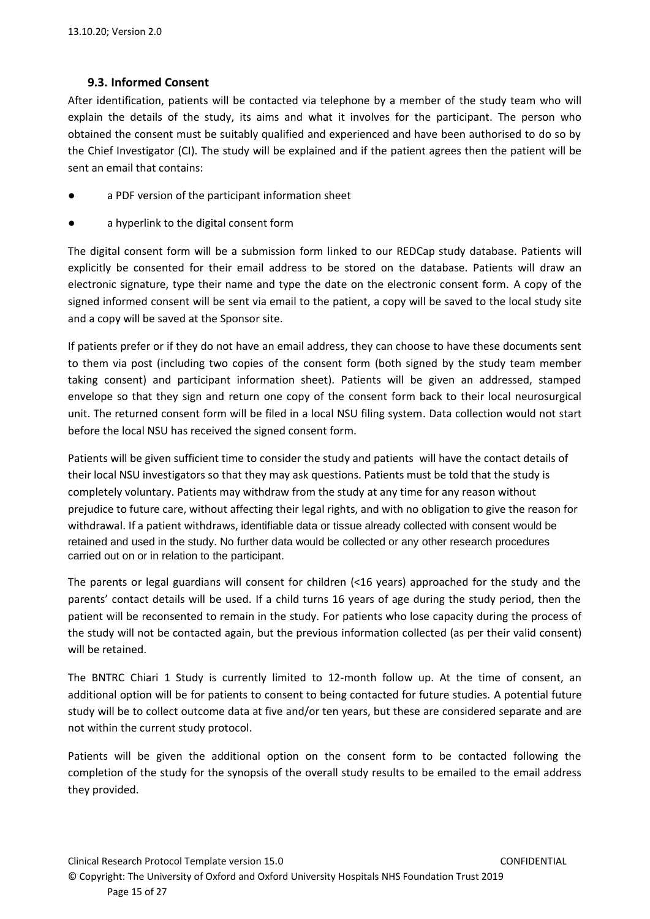## **9.3. Informed Consent**

<span id="page-14-0"></span>After identification, patients will be contacted via telephone by a member of the study team who will explain the details of the study, its aims and what it involves for the participant. The person who obtained the consent must be suitably qualified and experienced and have been authorised to do so by the Chief Investigator (CI). The study will be explained and if the patient agrees then the patient will be sent an email that contains:

- a PDF version of the participant information sheet
- a hyperlink to the digital consent form

The digital consent form will be a submission form linked to our REDCap study database. Patients will explicitly be consented for their email address to be stored on the database. Patients will draw an electronic signature, type their name and type the date on the electronic consent form. A copy of the signed informed consent will be sent via email to the patient, a copy will be saved to the local study site and a copy will be saved at the Sponsor site.

If patients prefer or if they do not have an email address, they can choose to have these documents sent to them via post (including two copies of the consent form (both signed by the study team member taking consent) and participant information sheet). Patients will be given an addressed, stamped envelope so that they sign and return one copy of the consent form back to their local neurosurgical unit. The returned consent form will be filed in a local NSU filing system. Data collection would not start before the local NSU has received the signed consent form.

Patients will be given sufficient time to consider the study and patients will have the contact details of their local NSU investigators so that they may ask questions. Patients must be told that the study is completely voluntary. Patients may withdraw from the study at any time for any reason without prejudice to future care, without affecting their legal rights, and with no obligation to give the reason for withdrawal. If a patient withdraws, identifiable data or tissue already collected with consent would be retained and used in the study. No further data would be collected or any other research procedures carried out on or in relation to the participant.

The parents or legal guardians will consent for children (<16 years) approached for the study and the parents' contact details will be used. If a child turns 16 years of age during the study period, then the patient will be reconsented to remain in the study. For patients who lose capacity during the process of the study will not be contacted again, but the previous information collected (as per their valid consent) will be retained.

The BNTRC Chiari 1 Study is currently limited to 12-month follow up. At the time of consent, an additional option will be for patients to consent to being contacted for future studies. A potential future study will be to collect outcome data at five and/or ten years, but these are considered separate and are not within the current study protocol.

Patients will be given the additional option on the consent form to be contacted following the completion of the study for the synopsis of the overall study results to be emailed to the email address they provided.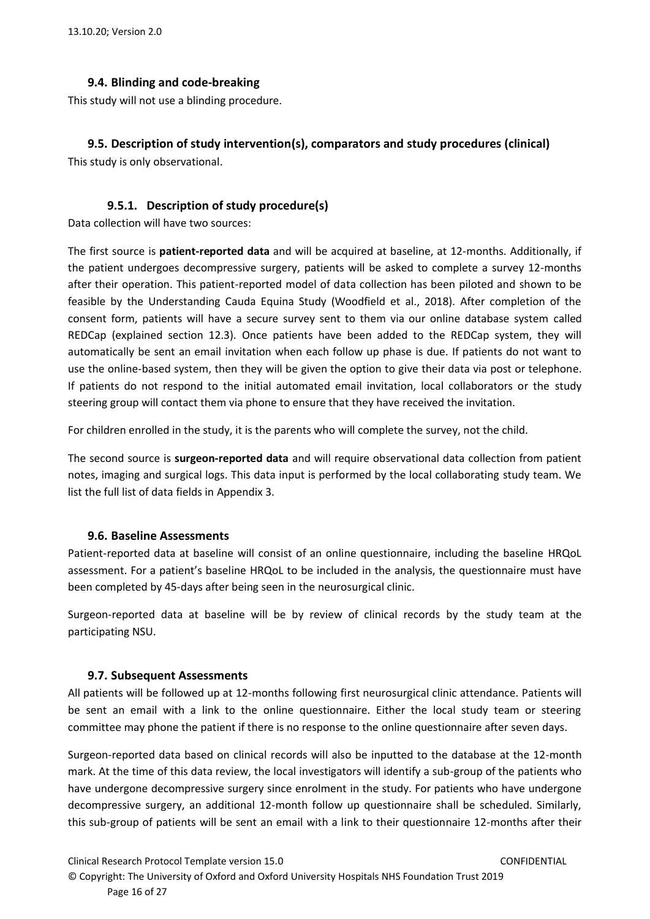## **9.4. Blinding and code-breaking**

<span id="page-15-0"></span>This study will not use a blinding procedure.

# <span id="page-15-1"></span>**9.5. Description of study intervention(s), comparators and study procedures (clinical)**

<span id="page-15-2"></span>This study is only observational.

# **9.5.1. Description of study procedure(s)**

Data collection will have two sources:

The first source is **patient-reported data** and will be acquired at baseline, at 12-months. Additionally, if the patient undergoes decompressive surgery, patients will be asked to complete a survey 12-months after their operation. This patient-reported model of data collection has been piloted and shown to be feasible by the Understanding Cauda Equina Study (Woodfield et al., 2018). After completion of the consent form, patients will have a secure survey sent to them via our online database system called REDCap (explained section 12.3). Once patients have been added to the REDCap system, they will automatically be sent an email invitation when each follow up phase is due. If patients do not want to use the online-based system, then they will be given the option to give their data via post or telephone. If patients do not respond to the initial automated email invitation, local collaborators or the study steering group will contact them via phone to ensure that they have received the invitation.

For children enrolled in the study, it is the parents who will complete the survey, not the child.

The second source is **surgeon-reported data** and will require observational data collection from patient notes, imaging and surgical logs. This data input is performed by the local collaborating study team. We list the full list of data fields in Appendix 3.

### <span id="page-15-3"></span>**9.6. Baseline Assessments**

Patient-reported data at baseline will consist of an online questionnaire, including the baseline HRQoL assessment. For a patient's baseline HRQoL to be included in the analysis, the questionnaire must have been completed by 45-days after being seen in the neurosurgical clinic.

Surgeon-reported data at baseline will be by review of clinical records by the study team at the participating NSU.

### <span id="page-15-4"></span>**9.7. Subsequent Assessments**

All patients will be followed up at 12-months following first neurosurgical clinic attendance. Patients will be sent an email with a link to the online questionnaire. Either the local study team or steering committee may phone the patient if there is no response to the online questionnaire after seven days.

Surgeon-reported data based on clinical records will also be inputted to the database at the 12-month mark. At the time of this data review, the local investigators will identify a sub-group of the patients who have undergone decompressive surgery since enrolment in the study. For patients who have undergone decompressive surgery, an additional 12-month follow up questionnaire shall be scheduled. Similarly, this sub-group of patients will be sent an email with a link to their questionnaire 12-months after their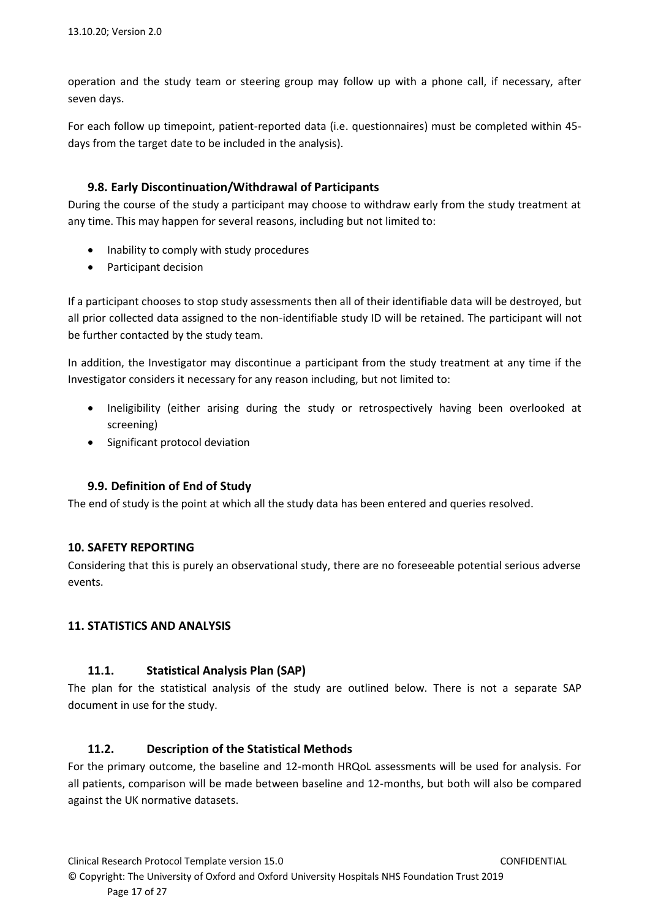operation and the study team or steering group may follow up with a phone call, if necessary, after seven days.

For each follow up timepoint, patient-reported data (i.e. questionnaires) must be completed within 45 days from the target date to be included in the analysis).

### <span id="page-16-0"></span>**9.8. Early Discontinuation/Withdrawal of Participants**

During the course of the study a participant may choose to withdraw early from the study treatment at any time. This may happen for several reasons, including but not limited to:

- Inability to comply with study procedures
- Participant decision

If a participant chooses to stop study assessments then all of their identifiable data will be destroyed, but all prior collected data assigned to the non-identifiable study ID will be retained. The participant will not be further contacted by the study team.

In addition, the Investigator may discontinue a participant from the study treatment at any time if the Investigator considers it necessary for any reason including, but not limited to:

- Ineligibility (either arising during the study or retrospectively having been overlooked at screening)
- Significant protocol deviation

# <span id="page-16-1"></span>**9.9. Definition of End of Study**

The end of study is the point at which all the study data has been entered and queries resolved.

### <span id="page-16-2"></span>**10. SAFETY REPORTING**

Considering that this is purely an observational study, there are no foreseeable potential serious adverse events.

### <span id="page-16-4"></span><span id="page-16-3"></span>**11. STATISTICS AND ANALYSIS**

### **11.1. Statistical Analysis Plan (SAP)**

The plan for the statistical analysis of the study are outlined below. There is not a separate SAP document in use for the study.

### <span id="page-16-5"></span>**11.2. Description of the Statistical Methods**

For the primary outcome, the baseline and 12-month HRQoL assessments will be used for analysis. For all patients, comparison will be made between baseline and 12-months, but both will also be compared against the UK normative datasets.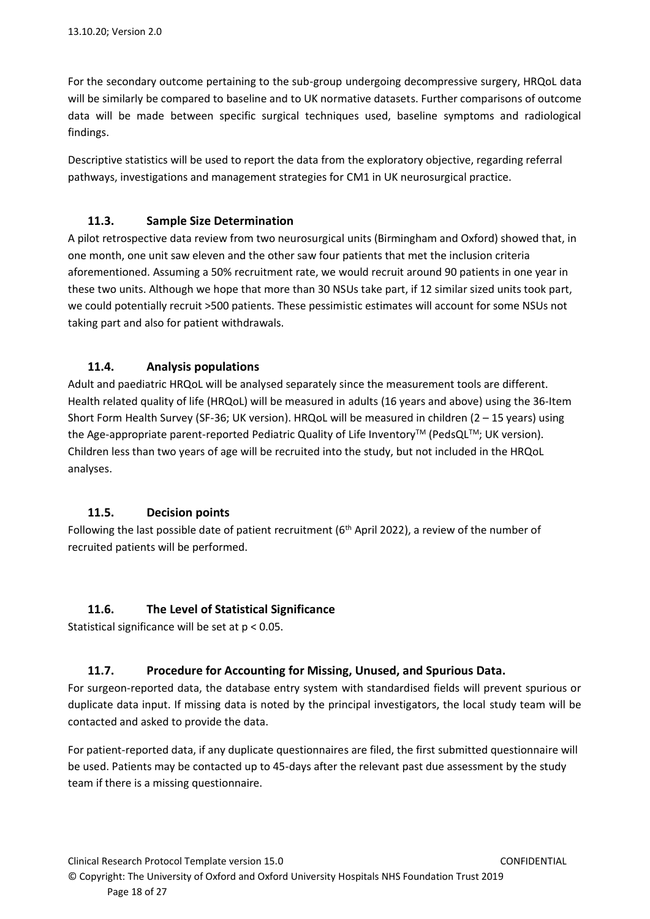For the secondary outcome pertaining to the sub-group undergoing decompressive surgery, HRQoL data will be similarly be compared to baseline and to UK normative datasets. Further comparisons of outcome data will be made between specific surgical techniques used, baseline symptoms and radiological findings.

Descriptive statistics will be used to report the data from the exploratory objective, regarding referral pathways, investigations and management strategies for CM1 in UK neurosurgical practice.

## <span id="page-17-0"></span>**11.3. Sample Size Determination**

A pilot retrospective data review from two neurosurgical units (Birmingham and Oxford) showed that, in one month, one unit saw eleven and the other saw four patients that met the inclusion criteria aforementioned. Assuming a 50% recruitment rate, we would recruit around 90 patients in one year in these two units. Although we hope that more than 30 NSUs take part, if 12 similar sized units took part, we could potentially recruit >500 patients. These pessimistic estimates will account for some NSUs not taking part and also for patient withdrawals.

## <span id="page-17-1"></span>**11.4. Analysis populations**

Adult and paediatric HRQoL will be analysed separately since the measurement tools are different. Health related quality of life (HRQoL) will be measured in adults (16 years and above) using the 36-Item Short Form Health Survey (SF-36; UK version). HRQoL will be measured in children (2 – 15 years) using the Age-appropriate parent-reported Pediatric Quality of Life Inventory™ (PedsQL™; UK version). Children less than two years of age will be recruited into the study, but not included in the HRQoL analyses.

### <span id="page-17-2"></span>**11.5. Decision points**

Following the last possible date of patient recruitment (6<sup>th</sup> April 2022), a review of the number of recruited patients will be performed.

### **11.6. The Level of Statistical Significance**

<span id="page-17-3"></span>Statistical significance will be set at p < 0.05.

# <span id="page-17-4"></span>**11.7. Procedure for Accounting for Missing, Unused, and Spurious Data.**

For surgeon-reported data, the database entry system with standardised fields will prevent spurious or duplicate data input. If missing data is noted by the principal investigators, the local study team will be contacted and asked to provide the data.

For patient-reported data, if any duplicate questionnaires are filed, the first submitted questionnaire will be used. Patients may be contacted up to 45-days after the relevant past due assessment by the study team if there is a missing questionnaire.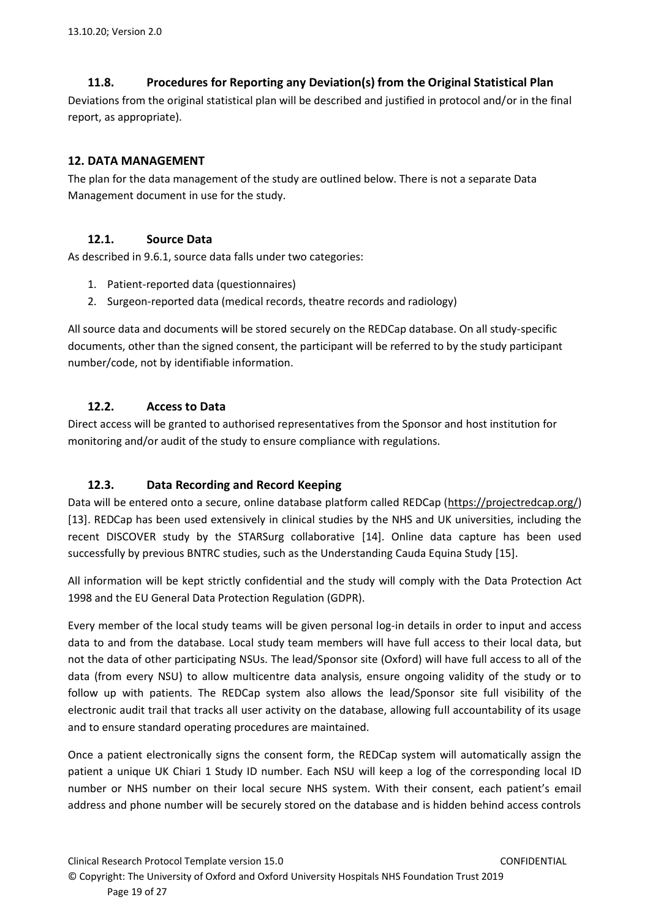# **11.8. Procedures for Reporting any Deviation(s) from the Original Statistical Plan**

<span id="page-18-0"></span>Deviations from the original statistical plan will be described and justified in protocol and/or in the final report, as appropriate).

# <span id="page-18-1"></span>**12. DATA MANAGEMENT**

The plan for the data management of the study are outlined below. There is not a separate Data Management document in use for the study.

# <span id="page-18-2"></span>**12.1. Source Data**

As described in 9.6.1, source data falls under two categories:

- 1. Patient-reported data (questionnaires)
- 2. Surgeon-reported data (medical records, theatre records and radiology)

All source data and documents will be stored securely on the REDCap database. On all study-specific documents, other than the signed consent, the participant will be referred to by the study participant number/code, not by identifiable information.

# <span id="page-18-3"></span>**12.2. Access to Data**

Direct access will be granted to authorised representatives from the Sponsor and host institution for monitoring and/or audit of the study to ensure compliance with regulations.

# <span id="page-18-4"></span>**12.3. Data Recording and Record Keeping**

Data will be entered onto a secure, online database platform called REDCap [\(https://projectredcap.org/\)](https://projectredcap.org/) [13]. REDCap has been used extensively in clinical studies by the NHS and UK universities, including the recent DISCOVER study by the STARSurg collaborative [14]. Online data capture has been used successfully by previous BNTRC studies, such as the Understanding Cauda Equina Study [15].

All information will be kept strictly confidential and the study will comply with the Data Protection Act 1998 and the EU General Data Protection Regulation (GDPR).

Every member of the local study teams will be given personal log-in details in order to input and access data to and from the database. Local study team members will have full access to their local data, but not the data of other participating NSUs. The lead/Sponsor site (Oxford) will have full access to all of the data (from every NSU) to allow multicentre data analysis, ensure ongoing validity of the study or to follow up with patients. The REDCap system also allows the lead/Sponsor site full visibility of the electronic audit trail that tracks all user activity on the database, allowing full accountability of its usage and to ensure standard operating procedures are maintained.

Once a patient electronically signs the consent form, the REDCap system will automatically assign the patient a unique UK Chiari 1 Study ID number. Each NSU will keep a log of the corresponding local ID number or NHS number on their local secure NHS system. With their consent, each patient's email address and phone number will be securely stored on the database and is hidden behind access controls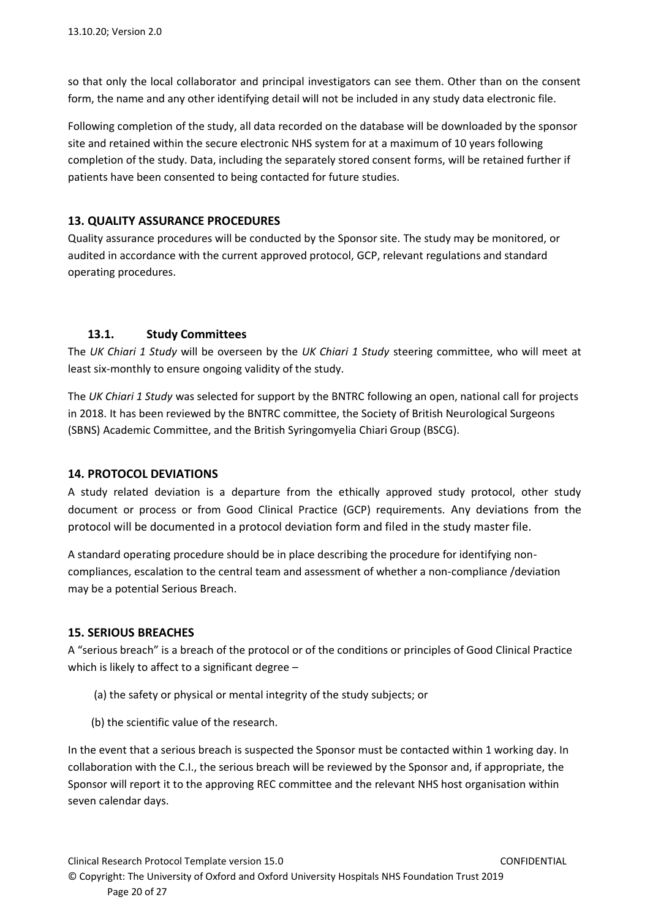so that only the local collaborator and principal investigators can see them. Other than on the consent form, the name and any other identifying detail will not be included in any study data electronic file.

Following completion of the study, all data recorded on the database will be downloaded by the sponsor site and retained within the secure electronic NHS system for at a maximum of 10 years following completion of the study. Data, including the separately stored consent forms, will be retained further if patients have been consented to being contacted for future studies.

## <span id="page-19-0"></span>**13. QUALITY ASSURANCE PROCEDURES**

Quality assurance procedures will be conducted by the Sponsor site. The study may be monitored, or audited in accordance with the current approved protocol, GCP, relevant regulations and standard operating procedures.

## **13.1. Study Committees**

<span id="page-19-1"></span>The *UK Chiari 1 Study* will be overseen by the *UK Chiari 1 Study* steering committee, who will meet at least six-monthly to ensure ongoing validity of the study.

The *UK Chiari 1 Study* was selected for support by the BNTRC following an open, national call for projects in 2018. It has been reviewed by the BNTRC committee, the Society of British Neurological Surgeons (SBNS) Academic Committee, and the British Syringomyelia Chiari Group (BSCG).

### <span id="page-19-2"></span>**14. PROTOCOL DEVIATIONS**

A study related deviation is a departure from the ethically approved study protocol, other study document or process or from Good Clinical Practice (GCP) requirements. Any deviations from the protocol will be documented in a protocol deviation form and filed in the study master file.

A standard operating procedure should be in place describing the procedure for identifying noncompliances, escalation to the central team and assessment of whether a non-compliance /deviation may be a potential Serious Breach.

### <span id="page-19-3"></span>**15. SERIOUS BREACHES**

A "serious breach" is a breach of the protocol or of the conditions or principles of Good Clinical Practice which is likely to affect to a significant degree -

- (a) the safety or physical or mental integrity of the study subjects; or
- (b) the scientific value of the research.

In the event that a serious breach is suspected the Sponsor must be contacted within 1 working day. In collaboration with the C.I., the serious breach will be reviewed by the Sponsor and, if appropriate, the Sponsor will report it to the approving REC committee and the relevant NHS host organisation within seven calendar days.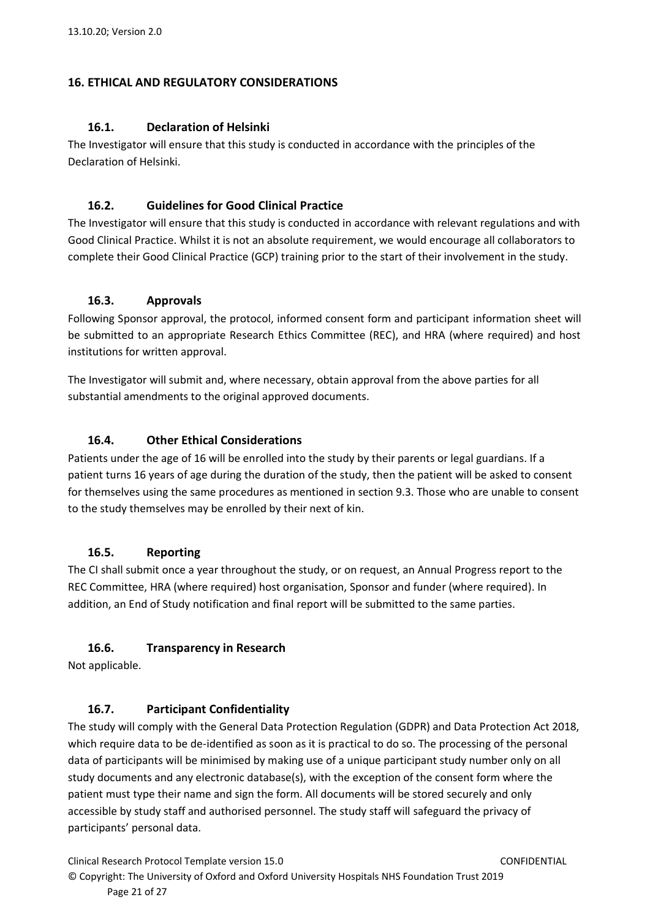### <span id="page-20-1"></span><span id="page-20-0"></span>**16. ETHICAL AND REGULATORY CONSIDERATIONS**

### **16.1. Declaration of Helsinki**

The Investigator will ensure that this study is conducted in accordance with the principles of the Declaration of Helsinki.

### <span id="page-20-2"></span>**16.2. Guidelines for Good Clinical Practice**

The Investigator will ensure that this study is conducted in accordance with relevant regulations and with Good Clinical Practice. Whilst it is not an absolute requirement, we would encourage all collaborators to complete their Good Clinical Practice (GCP) training prior to the start of their involvement in the study.

### <span id="page-20-3"></span>**16.3. Approvals**

Following Sponsor approval, the protocol, informed consent form and participant information sheet will be submitted to an appropriate Research Ethics Committee (REC), and HRA (where required) and host institutions for written approval.

The Investigator will submit and, where necessary, obtain approval from the above parties for all substantial amendments to the original approved documents.

## <span id="page-20-4"></span>**16.4. Other Ethical Considerations**

Patients under the age of 16 will be enrolled into the study by their parents or legal guardians. If a patient turns 16 years of age during the duration of the study, then the patient will be asked to consent for themselves using the same procedures as mentioned in section 9.3. Those who are unable to consent to the study themselves may be enrolled by their next of kin.

### <span id="page-20-5"></span>**16.5. Reporting**

The CI shall submit once a year throughout the study, or on request, an Annual Progress report to the REC Committee, HRA (where required) host organisation, Sponsor and funder (where required). In addition, an End of Study notification and final report will be submitted to the same parties.

# <span id="page-20-6"></span>**16.6. Transparency in Research**

<span id="page-20-7"></span>Not applicable.

### **16.7. Participant Confidentiality**

The study will comply with the General Data Protection Regulation (GDPR) and Data Protection Act 2018, which require data to be de-identified as soon as it is practical to do so. The processing of the personal data of participants will be minimised by making use of a unique participant study number only on all study documents and any electronic database(s), with the exception of the consent form where the patient must type their name and sign the form. All documents will be stored securely and only accessible by study staff and authorised personnel. The study staff will safeguard the privacy of participants' personal data.

Clinical Research Protocol Template version 15.0 CONFIDENTIAL © Copyright: The University of Oxford and Oxford University Hospitals NHS Foundation Trust 2019 Page 21 of 27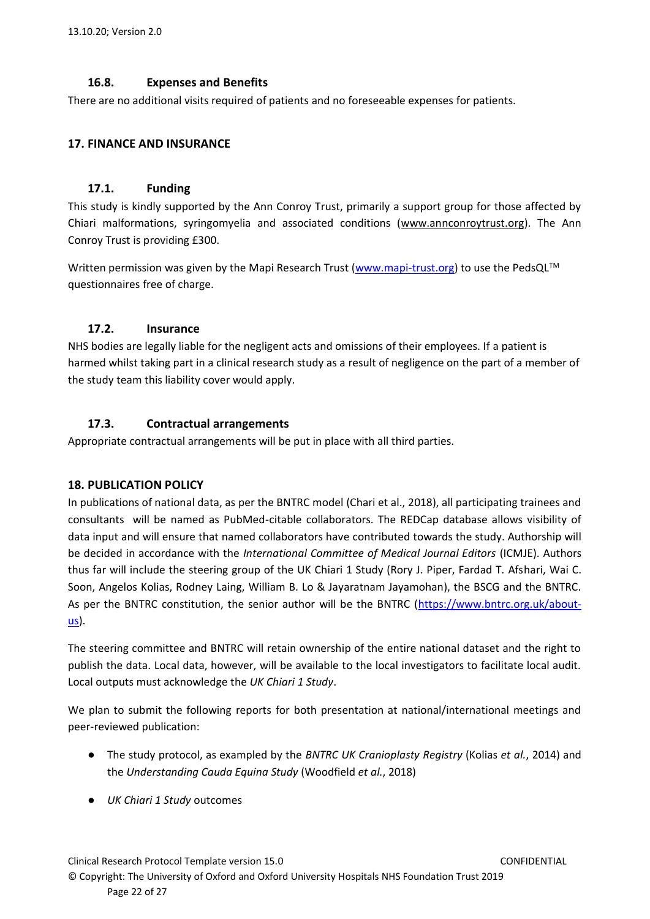## **16.8. Expenses and Benefits**

<span id="page-21-0"></span>There are no additional visits required of patients and no foreseeable expenses for patients.

### <span id="page-21-2"></span><span id="page-21-1"></span>**17. FINANCE AND INSURANCE**

### **17.1. Funding**

This study is kindly supported by the Ann Conroy Trust, primarily a support group for those affected by Chiari malformations, syringomyelia and associated conditions [\(www.annconroytrust.org\)](http://www.annconroytrust.org/). The Ann Conroy Trust is providing £300.

Written permission was given by the Mapi Research Trust [\(www.mapi-trust.org\)](http://www.mapi-trust.org/) to use the PedsQL™ questionnaires free of charge.

### <span id="page-21-3"></span>**17.2. Insurance**

NHS bodies are legally liable for the negligent acts and omissions of their employees. If a patient is harmed whilst taking part in a clinical research study as a result of negligence on the part of a member of the study team this liability cover would apply.

## <span id="page-21-4"></span>**17.3. Contractual arrangements**

Appropriate contractual arrangements will be put in place with all third parties.

### <span id="page-21-5"></span>**18. PUBLICATION POLICY**

In publications of national data, as per the BNTRC model (Chari et al., 2018), all participating trainees and consultants will be named as PubMed-citable collaborators. The REDCap database allows visibility of data input and will ensure that named collaborators have contributed towards the study. Authorship will be decided in accordance with the *International Committee of Medical Journal Editors* (ICMJE). Authors thus far will include the steering group of the UK Chiari 1 Study (Rory J. Piper, Fardad T. Afshari, Wai C. Soon, Angelos Kolias, Rodney Laing, William B. Lo & Jayaratnam Jayamohan), the BSCG and the BNTRC. As per the BNTRC constitution, the senior author will be the BNTRC [\(https://www.bntrc.org.uk/about](https://www.bntrc.org.uk/about-us)[us\)](https://www.bntrc.org.uk/about-us).

The steering committee and BNTRC will retain ownership of the entire national dataset and the right to publish the data. Local data, however, will be available to the local investigators to facilitate local audit. Local outputs must acknowledge the *UK Chiari 1 Study*.

We plan to submit the following reports for both presentation at national/international meetings and peer-reviewed publication:

- The study protocol, as exampled by the *BNTRC UK Cranioplasty Registry* (Kolias *et al.*, 2014) and the *Understanding Cauda Equina Study* (Woodfield *et al.*, 2018)
- *UK Chiari 1 Study* outcomes

Clinical Research Protocol Template version 15.0 CONFIDENTIAL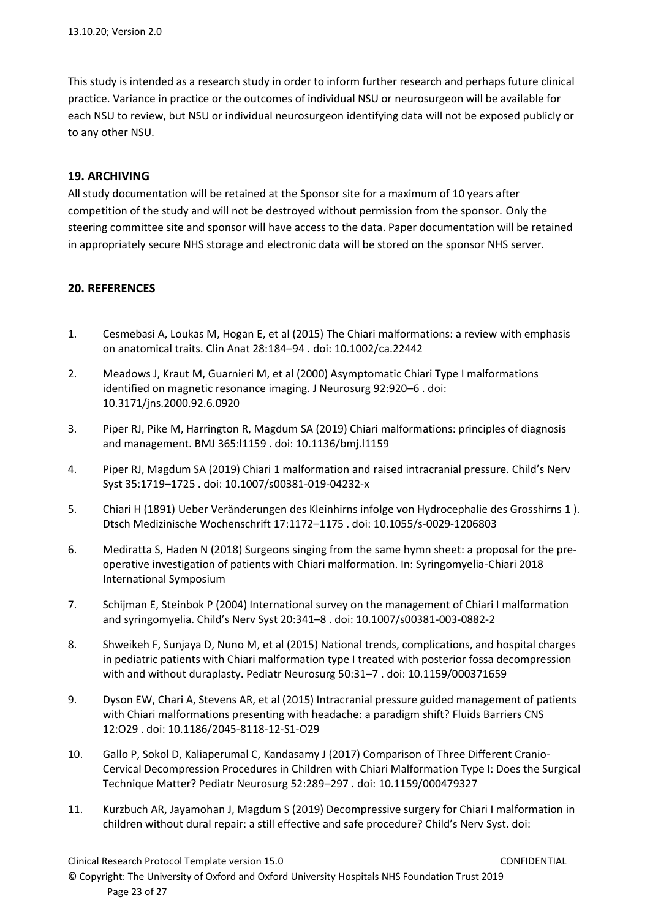This study is intended as a research study in order to inform further research and perhaps future clinical practice. Variance in practice or the outcomes of individual NSU or neurosurgeon will be available for each NSU to review, but NSU or individual neurosurgeon identifying data will not be exposed publicly or to any other NSU.

### <span id="page-22-0"></span>**19. ARCHIVING**

All study documentation will be retained at the Sponsor site for a maximum of 10 years after competition of the study and will not be destroyed without permission from the sponsor. Only the steering committee site and sponsor will have access to the data. Paper documentation will be retained in appropriately secure NHS storage and electronic data will be stored on the sponsor NHS server.

### <span id="page-22-1"></span>**20. REFERENCES**

- 1. Cesmebasi A, Loukas M, Hogan E, et al (2015) The Chiari malformations: a review with emphasis on anatomical traits. Clin Anat 28:184–94 . doi: 10.1002/ca.22442
- 2. Meadows J, Kraut M, Guarnieri M, et al (2000) Asymptomatic Chiari Type I malformations identified on magnetic resonance imaging. J Neurosurg 92:920–6 . doi: 10.3171/jns.2000.92.6.0920
- 3. Piper RJ, Pike M, Harrington R, Magdum SA (2019) Chiari malformations: principles of diagnosis and management. BMJ 365:l1159 . doi: 10.1136/bmj.l1159
- 4. Piper RJ, Magdum SA (2019) Chiari 1 malformation and raised intracranial pressure. Child's Nerv Syst 35:1719–1725 . doi: 10.1007/s00381-019-04232-x
- 5. Chiari H (1891) Ueber Veränderungen des Kleinhirns infolge von Hydrocephalie des Grosshirns 1 ). Dtsch Medizinische Wochenschrift 17:1172–1175 . doi: 10.1055/s-0029-1206803
- 6. Mediratta S, Haden N (2018) Surgeons singing from the same hymn sheet: a proposal for the preoperative investigation of patients with Chiari malformation. In: Syringomyelia-Chiari 2018 International Symposium
- 7. Schijman E, Steinbok P (2004) International survey on the management of Chiari I malformation and syringomyelia. Child's Nerv Syst 20:341–8 . doi: 10.1007/s00381-003-0882-2
- 8. Shweikeh F, Sunjaya D, Nuno M, et al (2015) National trends, complications, and hospital charges in pediatric patients with Chiari malformation type I treated with posterior fossa decompression with and without duraplasty. Pediatr Neurosurg 50:31–7 . doi: 10.1159/000371659
- 9. Dyson EW, Chari A, Stevens AR, et al (2015) Intracranial pressure guided management of patients with Chiari malformations presenting with headache: a paradigm shift? Fluids Barriers CNS 12:O29 . doi: 10.1186/2045-8118-12-S1-O29
- 10. Gallo P, Sokol D, Kaliaperumal C, Kandasamy J (2017) Comparison of Three Different Cranio-Cervical Decompression Procedures in Children with Chiari Malformation Type I: Does the Surgical Technique Matter? Pediatr Neurosurg 52:289–297 . doi: 10.1159/000479327
- 11. Kurzbuch AR, Jayamohan J, Magdum S (2019) Decompressive surgery for Chiari I malformation in children without dural repair: a still effective and safe procedure? Child's Nerv Syst. doi:

Clinical Research Protocol Template version 15.0 CONFIDENTIAL

© Copyright: The University of Oxford and Oxford University Hospitals NHS Foundation Trust 2019 Page 23 of 27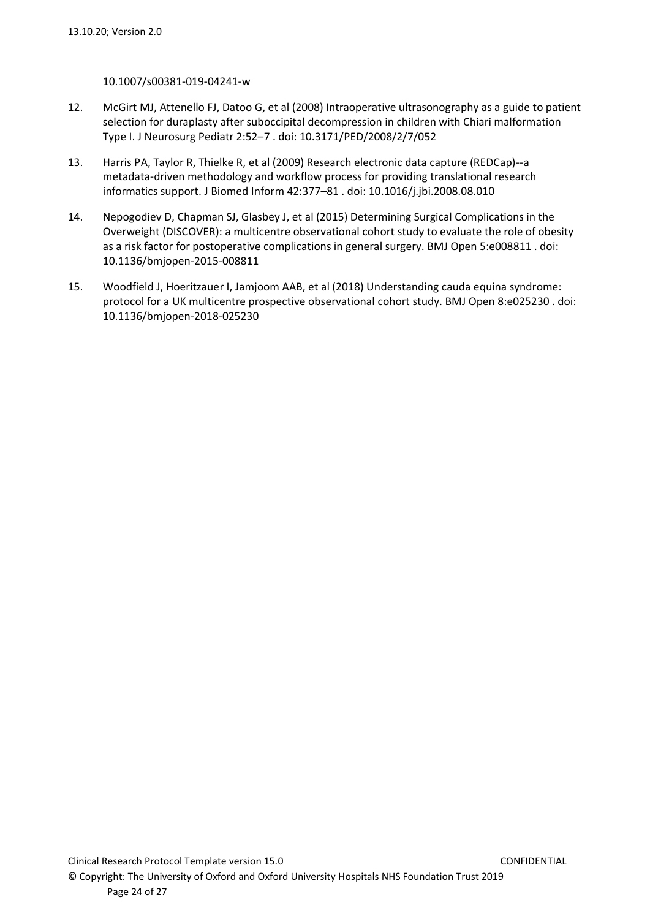#### 10.1007/s00381-019-04241-w

- 12. McGirt MJ, Attenello FJ, Datoo G, et al (2008) Intraoperative ultrasonography as a guide to patient selection for duraplasty after suboccipital decompression in children with Chiari malformation Type I. J Neurosurg Pediatr 2:52–7 . doi: 10.3171/PED/2008/2/7/052
- 13. Harris PA, Taylor R, Thielke R, et al (2009) Research electronic data capture (REDCap)--a metadata-driven methodology and workflow process for providing translational research informatics support. J Biomed Inform 42:377–81 . doi: 10.1016/j.jbi.2008.08.010
- 14. Nepogodiev D, Chapman SJ, Glasbey J, et al (2015) Determining Surgical Complications in the Overweight (DISCOVER): a multicentre observational cohort study to evaluate the role of obesity as a risk factor for postoperative complications in general surgery. BMJ Open 5:e008811 . doi: 10.1136/bmjopen-2015-008811
- 15. Woodfield J, Hoeritzauer I, Jamjoom AAB, et al (2018) Understanding cauda equina syndrome: protocol for a UK multicentre prospective observational cohort study. BMJ Open 8:e025230 . doi: 10.1136/bmjopen-2018-025230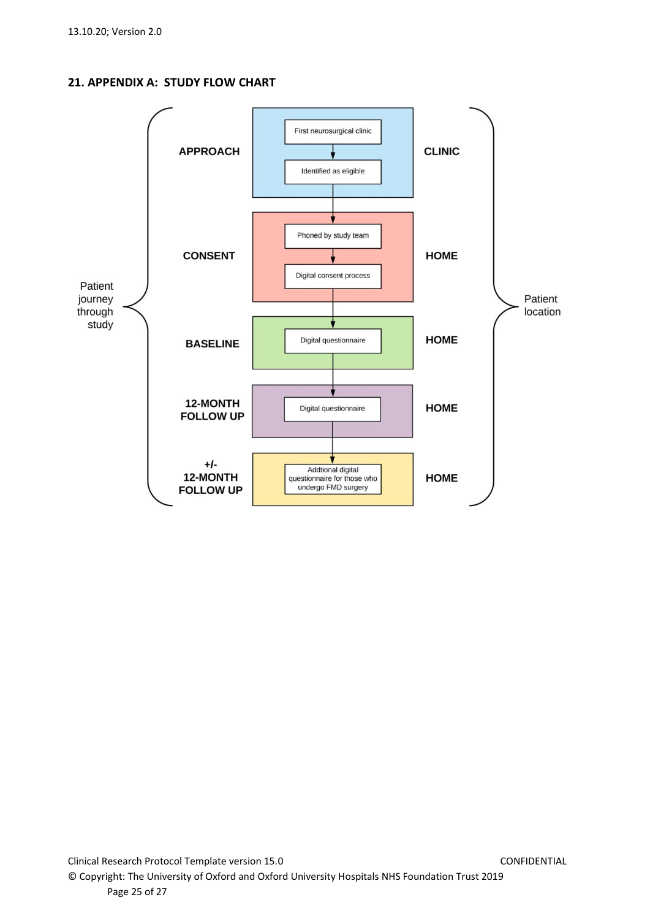<span id="page-24-0"></span>**21. APPENDIX A: STUDY FLOW CHART**

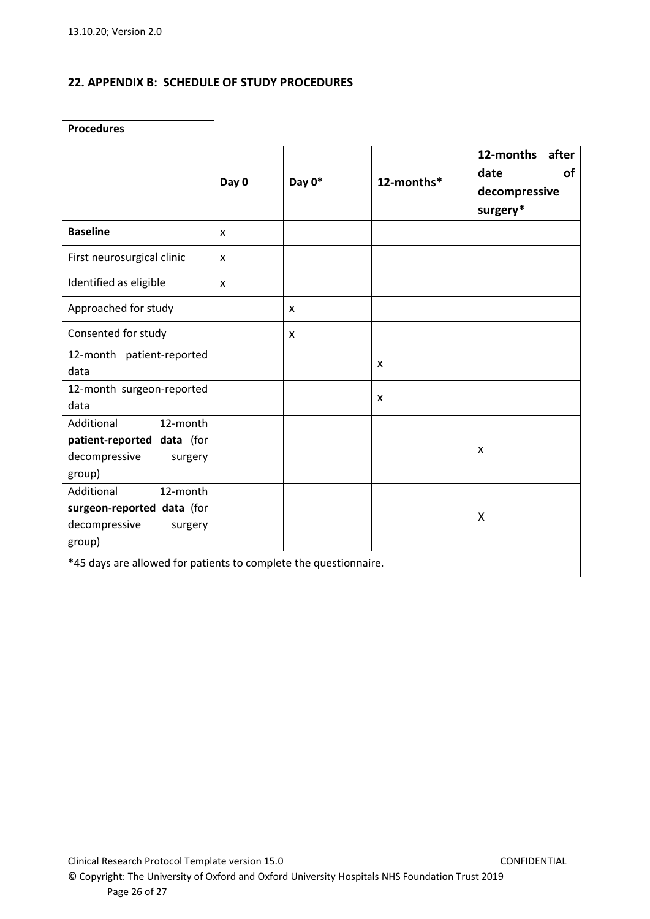### <span id="page-25-0"></span>**22. APPENDIX B: SCHEDULE OF STUDY PROCEDURES**

| <b>Procedures</b>                                                                          |       |        |            |                                                               |
|--------------------------------------------------------------------------------------------|-------|--------|------------|---------------------------------------------------------------|
|                                                                                            | Day 0 | Day 0* | 12-months* | 12-months<br>after<br>date<br>οf<br>decompressive<br>surgery* |
| <b>Baseline</b>                                                                            | X     |        |            |                                                               |
| First neurosurgical clinic                                                                 | X     |        |            |                                                               |
| Identified as eligible                                                                     | X     |        |            |                                                               |
| Approached for study                                                                       |       | X      |            |                                                               |
| Consented for study                                                                        |       | X      |            |                                                               |
| 12-month patient-reported<br>data                                                          |       |        | X          |                                                               |
| 12-month surgeon-reported<br>data                                                          |       |        | x          |                                                               |
| Additional<br>12-month<br>patient-reported data (for<br>decompressive<br>surgery<br>group) |       |        |            | $\boldsymbol{\mathsf{X}}$                                     |
| Additional<br>12-month<br>surgeon-reported data (for<br>decompressive<br>surgery<br>group) |       |        |            | $\boldsymbol{\mathsf{X}}$                                     |
| *45 days are allowed for patients to complete the questionnaire.                           |       |        |            |                                                               |